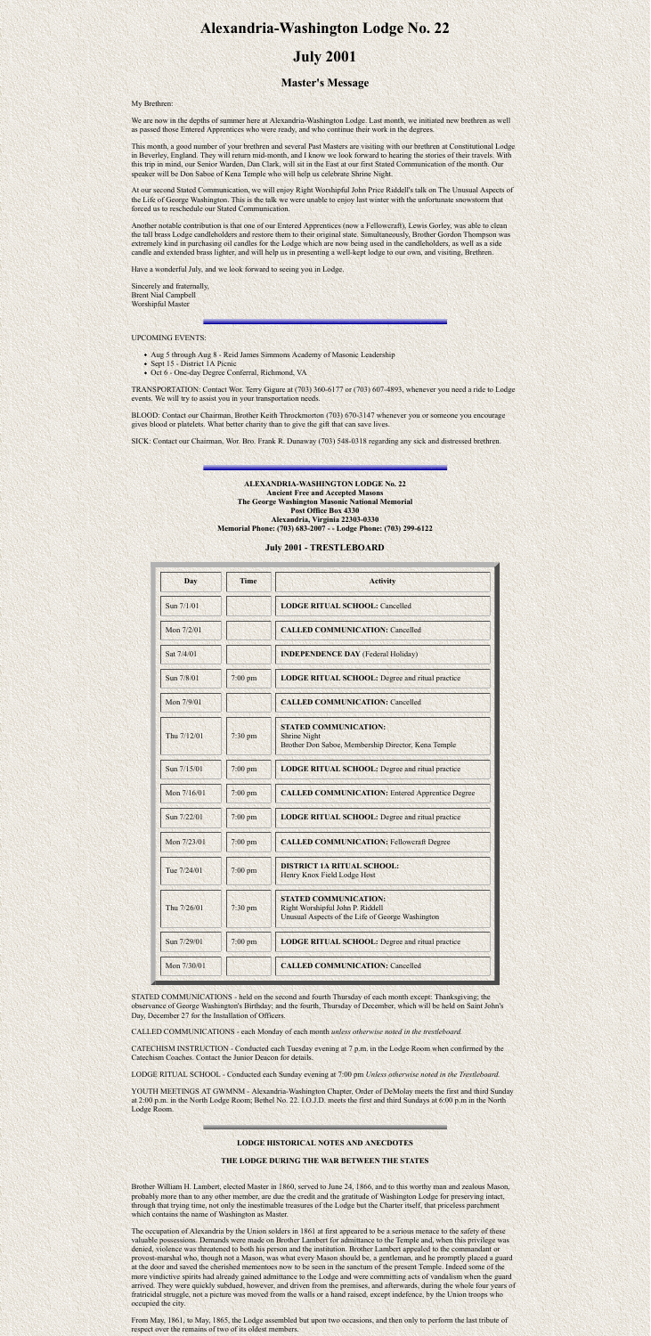# **Alexandria-Washington Lodge No. 22**

## **July 2001**

### **Master's Message**

My Brethren:

We are now in the depths of summer here at Alexandria-Washington Lodge. Last month, we initiated new brethren as well as passed those Entered Apprentices who were ready, and who continue their work in the degrees.

This month, a good number of your brethren and several Past Masters are visiting with our brethren at Constitutional Lodge in Beverley, England. They will return mid-month, and I know we look forward to hearing the stories of their travels. With this trip in mind, our Senior Warden, Dan Clark, will sit in the East at our first Stated Communication of the month. Our speaker will be Don Saboe of Kena Temple who will help us celebrate Shrine Night.

- Aug 5 through Aug 8 Reid James Simmons Academy of Masonic Leadership
- Sept 15 District 1A Picnic
- Oct 6 One-day Degree Conferral, Richmond, VA

At our second Stated Communication, we will enjoy Right Worshipful John Price Riddell's talk on The Unusual Aspects of the Life of George Washington. This is the talk we were unable to enjoy last winter with the unfortunate snowstorm that forced us to reschedule our Stated Communication.

Another notable contribution is that one of our Entered Apprentices (now a Fellowcraft), Lewis Gorley, was able to clean the tall brass Lodge candleholders and restore them to their original state. Simultaneously, Brother Gordon Thompson was extremely kind in purchasing oil candles for the Lodge which are now being used in the candleholders, as well as a side candle and extended brass lighter, and will help us in presenting a well-kept lodge to our own, and visiting, Brethren.

Have a wonderful July, and we look forward to seeing you in Lodge.

Sincerely and fraternally, Brent Nial Campbell Worshipful Master

#### UPCOMING EVENTS:

TRANSPORTATION: Contact Wor. Terry Gigure at (703) 360-6177 or (703) 607-4893, whenever you need a ride to Lodge events. We will try to assist you in your transportation needs.

BLOOD: Contact our Chairman, Brother Keith Throckmorton (703) 670-3147 whenever you or someone you encourage gives blood or platelets. What better charity than to give the gift that can save lives.

SICK: Contact our Chairman, Wor. Bro. Frank R. Dunaway (703) 548-0318 regarding any sick and distressed brethren.

**ALEXANDRIA-WASHINGTON LODGE No. 22 Ancient Free and Accepted Masons The George Washington Masonic National Memorial Post Office Box 4330 Alexandria, Virginia 22303-0330 Memorial Phone: (703) 683-2007 - - Lodge Phone: (703) 299-6122**

#### **July 2001 - TRESTLEBOARD**

| Day         | <b>Time</b> | <b>Activity</b>                                                                                                      |
|-------------|-------------|----------------------------------------------------------------------------------------------------------------------|
| Sun 7/1/01  |             | <b>LODGE RITUAL SCHOOL: Cancelled</b>                                                                                |
| Mon 7/2/01  |             | <b>CALLED COMMUNICATION: Cancelled</b>                                                                               |
| Sat 7/4/01  |             | <b>INDEPENDENCE DAY</b> (Federal Holiday)                                                                            |
| Sun 7/8/01  | 7:00 pm     | <b>LODGE RITUAL SCHOOL: Degree and ritual practice</b>                                                               |
| Mon 7/9/01  |             | <b>CALLED COMMUNICATION: Cancelled</b>                                                                               |
| Thu 7/12/01 | $7:30$ pm   | <b>STATED COMMUNICATION:</b><br><b>Shrine Night</b><br>Brother Don Saboe, Membership Director, Kena Temple           |
| Sun 7/15/01 | $7:00$ pm   | <b>LODGE RITUAL SCHOOL:</b> Degree and ritual practice                                                               |
| Mon 7/16/01 | $7:00$ pm   | <b>CALLED COMMUNICATION: Entered Apprentice Degree</b>                                                               |
| Sun 7/22/01 | 7:00 pm     | <b>LODGE RITUAL SCHOOL: Degree and ritual practice</b>                                                               |
| Mon 7/23/01 | $7:00$ pm   | <b>CALLED COMMUNICATION: Fellowcraft Degree</b>                                                                      |
| Tue 7/24/01 | 7:00 pm     | <b>DISTRICT 1A RITUAL SCHOOL:</b><br>Henry Knox Field Lodge Host                                                     |
| Thu 7/26/01 | $7:30$ pm   | <b>STATED COMMUNICATION:</b><br>Right Worshipful John P. Riddell<br>Unusual Aspects of the Life of George Washington |
| Sun 7/29/01 | 7:00 pm     | <b>LODGE RITUAL SCHOOL:</b> Degree and ritual practice                                                               |
| Mon 7/30/01 |             | <b>CALLED COMMUNICATION: Cancelled</b>                                                                               |

STATED COMMUNICATIONS - held on the second and fourth Thursday of each month except: Thanksgiving; the observance of George Washington's Birthday; and the fourth, Thursday of December, which will be held on Saint John's Day, December 27 for the Installation of Officers.

CALLED COMMUNICATIONS - each Monday of each month *unless otherwise noted in the trestleboard.*

CATECHISM INSTRUCTION - Conducted each Tuesday evening at 7 p.m. in the Lodge Room when confirmed by the Catechism Coaches. Contact the Junior Deacon for details.

LODGE RITUAL SCHOOL - Conducted each Sunday evening at 7:00 pm *Unless otherwise noted in the Trestleboard.*

YOUTH MEETINGS AT GWMNM - Alexandria-Washington Chapter, Order of DeMolay meets the first and third Sunday at 2:00 p.m. in the North Lodge Room; Bethel No. 22. I.O.J.D. meets the first and third Sundays at 6:00 p.m in the North Lodge Room.

#### **LODGE HISTORICAL NOTES AND ANECDOTES**

**THE LODGE DURING THE WAR BETWEEN THE STATES**

Brother William H. Lambert, elected Master in 1860, served to June 24, 1866, and to this worthy man and zealous Mason, probably more than to any other member, are due the credit and the gratitude of Washington Lodge for preserving intact, through that trying time, not only the inestimable treasures of the Lodge but the Charter itself, that priceless parchment which contains the name of Washington as Master.

The occupation of Alexandria by the Union solders in 1861 at first appeared to be a serious menace to the safety of these valuable possessions. Demands were made on Brother Lambert for admittance to the Temple and, when this privilege was denied, violence was threatened to both his person and the institution. Brother Lambert appealed to the commandant or provost-marshal who, though not a Mason, was what every Mason should be, a gentleman, and he promptly placed a guard at the door and saved the cherished mementoes now to be seen in the sanctum of the present Temple. Indeed some of the more vindictive spirits had already gained admittance to the Lodge and were committing acts of vandalism when the guard arrived. They were quickly subdued, however, and driven from the premises, and afterwards, during the whole four years of fratricidal struggle, not a picture was moved from the walls or a hand raised, except indefence, by the Union troops who occupied the city.

From May, 1861, to May, 1865, the Lodge assembled but upon two occasions, and then only to perform the last tribute of respect over the remains of two of its oldest members.